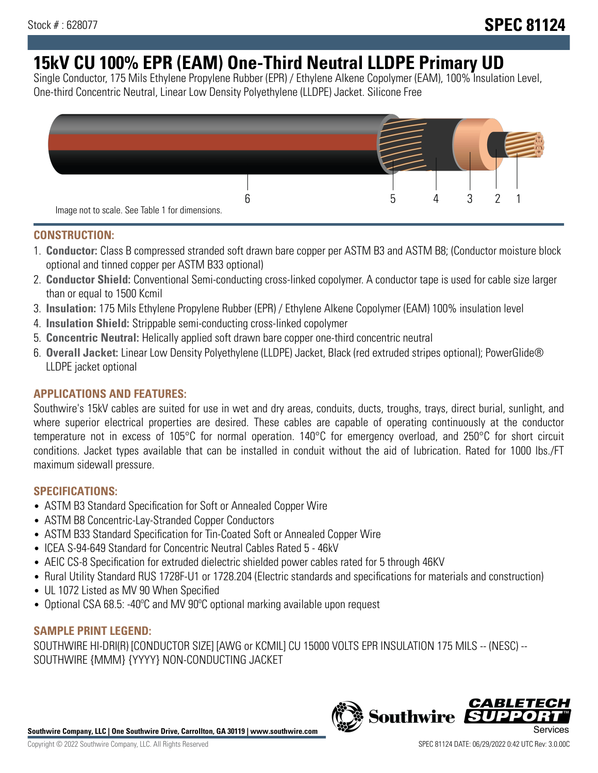# **15kV CU 100% EPR (EAM) One-Third Neutral LLDPE Primary UD**

Single Conductor, 175 Mils Ethylene Propylene Rubber (EPR) / Ethylene Alkene Copolymer (EAM), 100% Insulation Level, One-third Concentric Neutral, Linear Low Density Polyethylene (LLDPE) Jacket. Silicone Free



## **CONSTRUCTION:**

- 1. **Conductor:** Class B compressed stranded soft drawn bare copper per ASTM B3 and ASTM B8; (Conductor moisture block optional and tinned copper per ASTM B33 optional)
- 2. **Conductor Shield:** Conventional Semi-conducting cross-linked copolymer. A conductor tape is used for cable size larger than or equal to 1500 Kcmil
- 3. **Insulation:** 175 Mils Ethylene Propylene Rubber (EPR) / Ethylene Alkene Copolymer (EAM) 100% insulation level
- 4. **Insulation Shield:** Strippable semi-conducting cross-linked copolymer
- 5. **Concentric Neutral:** Helically applied soft drawn bare copper one-third concentric neutral
- 6. **Overall Jacket:** Linear Low Density Polyethylene (LLDPE) Jacket, Black (red extruded stripes optional); PowerGlide® LLDPE jacket optional

## **APPLICATIONS AND FEATURES:**

Southwire's 15kV cables are suited for use in wet and dry areas, conduits, ducts, troughs, trays, direct burial, sunlight, and where superior electrical properties are desired. These cables are capable of operating continuously at the conductor temperature not in excess of 105°C for normal operation. 140°C for emergency overload, and 250°C for short circuit conditions. Jacket types available that can be installed in conduit without the aid of lubrication. Rated for 1000 lbs./FT maximum sidewall pressure.

## **SPECIFICATIONS:**

- ASTM B3 Standard Specification for Soft or Annealed Copper Wire
- ASTM B8 Concentric-Lay-Stranded Copper Conductors
- ASTM B33 Standard Specification for Tin-Coated Soft or Annealed Copper Wire
- ICEA S-94-649 Standard for Concentric Neutral Cables Rated 5 46kV
- AEIC CS-8 Specification for extruded dielectric shielded power cables rated for 5 through 46KV
- Rural Utility Standard RUS 1728F-U1 or 1728.204 (Electric standards and specifications for materials and construction)
- UL 1072 Listed as MV 90 When Specified
- Optional CSA 68.5: -40°C and MV 90°C optional marking available upon request

# **SAMPLE PRINT LEGEND:**

SOUTHWIRE HI-DRI(R) [CONDUCTOR SIZE] [AWG or KCMIL] CU 15000 VOLTS EPR INSULATION 175 MILS -- (NESC) -- SOUTHWIRE {MMM} {YYYY} NON-CONDUCTING JACKET

**Southwire Company, LLC | One Southwire Drive, Carrollton, GA 30119 | www.southwire.com**